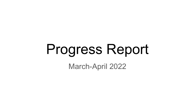# Progress Report

March-April 2022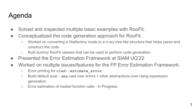# Agenda

- Solved and inspected multiple basic examples with RooFit.
- Conceptualized the code generation approach for RooFit.
	- Worked on converting a Histfactory mode to a n-ary tree like structure that helps parse and construct the code
	- Built dummy RooFit classes that can be used to perform code generation.
- Presented the Error Estimation Framework at SIAM UQ'22
- Worked on multiple issues/features for the FP Error Estimation Framework.
	- Error printing for **clad::estimate\_error**.
	- Build default **std::abs** cast over errors + other abstractions over clang expression generation.
	- Error estimation of nested function calls In Progress.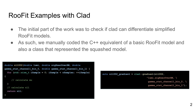# RooFit Examples with Clad

- The initial part of the work was to check if clad can differentiate simplified RooFit models.
- As such, we manually coded the C++ equivalent of a basic RooFit model and also a class that represented the squashed model.

```
double nll002(double lumi, double sigXsecOverSM, double
gamma_stat_channel1_bin_0, double gamma_stat_channel1_bin_1) {
  for (std::size_t iSample = 0; iSample < nSamples; ++iSample) 
      // calculate mu
   // calculate nll
  return nll;
}
```
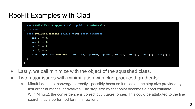# RooFit Examples with Clad

```
class HFLikelihoodWrapper final : public RooAbsReal {
protected:
  void evaluateGradient(double *out) const override {
     out[0] = 0;
     out[1] = 0;
     out[2] = 0;
     out[3] = 0;
    nl1002 gradient.execute( lumi, mu, gamma0, gamma1, &out[0], &out[1], &out[2], &out[3]);
};
```
- Lastly, we call minimize with the object of the squashed class.
- Two major issues with minimization with clad produced gradients:
	- Minuit1 does not converge correctly possibly because it relies on the step size provided by first order numerical derivatives. The step size by that point becomes a good estimate.
	- With Minuit2, the convergence is correct but it takes longer. This could be attributed to the line search that is performed for minimizations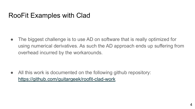# RooFit Examples with Clad

• The biggest challenge is to use AD on software that is really optimized for using numerical derivatives. As such the AD approach ends up suffering from overhead incurred by the workarounds.

• All this work is documented on the following github repository: <https://github.com/guitargeek/roofit-clad-work>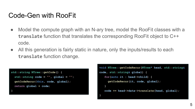• Model the compute graph with an N-ary tree, model the RooFit classes with a **translate** function that translates the corresponding RooFit object to C++ code.

**}**

• All this generation is fairly static in nature, only the inputs/results to each **translate** function change.

```
std::string NTree::getCode() {
   std::string code = "", global = "";
   getCodeRecur(this, code, global);
   return global + code;
}
```

```
void NTree::getCodeRecur(NTree* head, std::string&
code, std::string& global) {
   for(auto it : head->child) {
      getCodeRecur(it, code, global);
 }
    code += head->data->translate(head, global);
```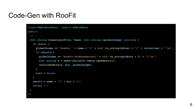```
class ExRooHistFunc : public ExRooReal{
public:
 // . . .
std::string translate(NTree *head, std::string &globalScope) override {
   if (init) {
     globalScope += "double " + name + "[" + std::to_string(nBins) + "]" + initalizer + ";\n";
     if (unroll){
       globalScope += "double binBoundaries[" + std::to string(nBins + 1) + "];\n";
        std::string x = head->child[0]->data->getResult();
       unrollGetBins(x, bin, globalScope);
 }
     init = false;
    }
  result = name + "[" + bin + "["; return "";
  }
};
```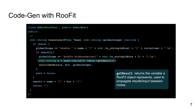```
class ExRooHistFunc : public ExRooReal{
public:
 // . . .
 std::string translate(NTree *head, std::string &globalScope) override {
   if (init) {
     globalScope += "double " + name + "[" + std::to string(nBins) + "]" + initalizer + ";\n";
      if (unroll){
       globalScope += "double binBoundaries[" + std::to string(nBins + 1) + "];\n";
        std::string x = head->child[0]->data->getResult();
        unrollGetBins(x, bin, globalScope);
 }
      init = false;
 }
  result = name + "[" + bin + "[";
   return "";
  }
};
                                                          getResult returns the variable a 
                                                          RooFit object represents, used to 
                                                          propagate results/input between 
                                                          nodes.
```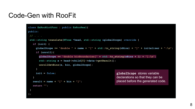```
class ExRooHistFunc : public ExRooReal{
public:
 // . . .
 std::string translate(NTree *head, std::string &globalScope) override {
   if (init) {
    globalScope += "double " + name + "[" + std::to string(nBins) + "]" + initalizer + ";\n";
     if (unroll){
       globalScope += "double binBoundaries[" + std::to string(nBins + 1) + "];\n";
        std::string x = head->child[0]->data->getResult();
        unrollGetBins(x, bin, globalScope);
 }
     init = false;
 }
  result = name + "[" + bin + "[";
   return "";
  }
};
                                                          globalScope stores variable 
                                                          declarations so that they can be 
                                                          placed before the generated code.
```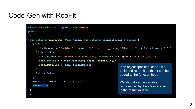```
class ExRooHistFunc : public ExRooReal{
public:
 // . . .
 std::string translate(NTree *head, std::string &globalScope) override {
   if (init) {
     globalScope += "double " + name + "[" + std::to string(nBins) + "]" + initalizer + ";\langle n";
      if (unroll){
       globalScope += "double binBoundaries[" + std::to string(nBins + 1) + "];\n";
        std::string x = head->child[0]->data->getResult();
        unrollGetBins(x, bin, globalScope);
 }
      init = false;
 }
   result = name + "[" + bin + "[";
    return "";
  }
};
                                                               If an object specifies "code", we 
                                                               build and return it so that it can be 
                                                               added to the function body.
                                                               We also store the variable 
                                                               represented by this class's object 
                                                               in the result variable.
```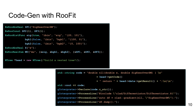```
ExRooAbsReal SF1("SigXsecOverSM");
ExRooConst SF2(1), SF3(1);
ExRooHistFunc sig(true, "ibin", "sig", "{20, 10}"),
              bgk1(false, "ibin", "bgk1", "{100, 0}"),
              bgk2(false, "ibin", "bgk2", "{0, 100}");
ExRooAbsReal X("x");
ExRooRealSum MU("mu", {&sig, &bgk1, &bgk2}, {&SF1, &SF2, &SF3});
NTree *head = new NTree(/*build a nested tree*/);
```

```
std::string code = "double nll(double x, double SigXsecOverSM) { \n"
                         + head->getCode() 
                         + " return " + head->data->getResult() + ";\n}\n";
std::cout << code;
gInterpreter->Declare(code.c_str());
gInterpreter->ProcessLine("#include \"clad/Differentiator/Differentiator.h\"");
gInterpreter->ProcessLine("auto df = clad::gradient(nll, \"SigXsecOverSM\");");
gInterpreter->ProcessLine("df.dump();");
```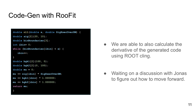```
double nll(double x, double SigXsecOverSM) {
double sig[2]{20, 10};
double binBoundaries[3];
int ibin= 0;
while (binBoundaries[ibin] < x) {
    ibin++;
}
double bgk1[2]{100, 0};
double bgk2[2]{0, 100};
double mu = 0;
mu += sig[ibin] * SigXsecOverSM;
mu += bgk1[ibin] * 1.000000;
mu += bgk2[ibin] * 1.000000;
return mu;
}
```
● We are able to also calculate the derivative of the generated code using ROOT cling.

• Waiting on a discussion with Jonas to figure out how to move forward.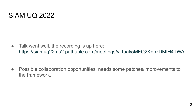### SIAM UQ 2022

 $\bullet$  Talk went well, the recording is up here: <https://siamuq22.us2.pathable.com/meetings/virtual/5MFQ2KnbzDMfH4TWA>

● Possible collaboration opportunities, needs some patches/improvements to the framework.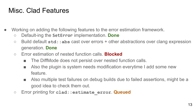# Misc. Clad Features

- Working on adding the following features to the error estimation framework.
	- Default-ing the **SetError** implementation. **Done**
	- Build default **std::abs** cast over errors + other abstractions over clang expression generation. **Done**
	- Error estimation of nested function calls. **Blocked**
		- The DiffMode does not persist over nested function calls.
		- Also the plugin is system needs modification everytime I add some new feature.
		- Also multiple test failures on debug builds due to failed assertions, might be a good idea to check them out.
	- Error printing for **clad::estimate\_error**. **Queued**